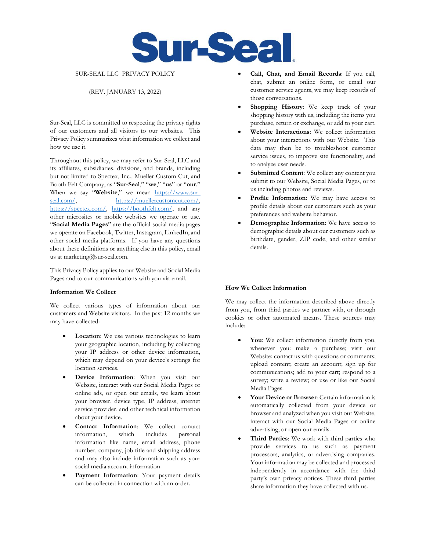

# SUR-SEAL LLC PRIVACY POLICY

# (REV. JANUARY 13, 2022)

Sur-Seal, LLC is committed to respecting the privacy rights of our customers and all visitors to our websites. This Privacy Policy summarizes what information we collect and how we use it.

Throughout this policy, we may refer to Sur-Seal, LLC and its affiliates, subsidiaries, divisions, and brands, including but not limited to Spectex, Inc., Mueller Custom Cut, and Booth Felt Company, as "**Sur-Seal**," "**we**," "**us**" or "**our**." When we say "**Website**," we mean [https://www.sur](https://www.sur-seal.com/)[seal.com/,](https://www.sur-seal.com/) [https://muellercustomcut.com/,](https://muellercustomcut.com/) [https://spectex.com/,](https://spectex.com/) [https://boothfelt.com/,](https://boothfelt.com/) and any other microsites or mobile websites we operate or use. "**Social Media Pages**" are the official social media pages we operate on Facebook, Twitter, Instagram, LinkedIn, and other social media platforms. If you have any questions about these definitions or anything else in this policy, email us at marketing@sur-seal.com.

This Privacy Policy applies to our Website and Social Media Pages and to our communications with you via email.

#### **Information We Collect**

We collect various types of information about our customers and Website visitors. In the past 12 months we may have collected:

- **Location**: We use various technologies to learn your geographic location, including by collecting your IP address or other device information, which may depend on your device's settings for location services.
- **Device Information**: When you visit our Website, interact with our Social Media Pages or online ads, or open our emails, we learn about your browser, device type, IP address, internet service provider, and other technical information about your device.
- **Contact Information**: We collect contact information, which includes personal information like name, email address, phone number, company, job title and shipping address and may also include information such as your social media account information.
- Payment Information: Your payment details can be collected in connection with an order.
- **Call, Chat, and Email Records**: If you call, chat, submit an online form, or email our customer service agents, we may keep records of those conversations.
- **Shopping History:** We keep track of your shopping history with us, including the items you purchase, return or exchange, or add to your cart.
- **Website Interactions**: We collect information about your interactions with our Website. This data may then be to troubleshoot customer service issues, to improve site functionality, and to analyze user needs.
- Submitted Content: We collect any content you submit to our Website, Social Media Pages, or to us including photos and reviews.
- Profile Information: We may have access to profile details about our customers such as your preferences and website behavior.
- **Demographic Information**: We have access to demographic details about our customers such as birthdate, gender, ZIP code, and other similar details.

#### **How We Collect Information**

We may collect the information described above directly from you, from third parties we partner with, or through cookies or other automated means. These sources may include:

- You: We collect information directly from you, whenever you: make a purchase; visit our Website; contact us with questions or comments; upload content; create an account; sign up for communications; add to your cart; respond to a survey; write a review; or use or like our Social Media Pages.
- **Your Device or Browser**: Certain information is automatically collected from your device or browser and analyzed when you visit our Website, interact with our Social Media Pages or online advertising, or open our emails.
- Third Parties: We work with third parties who provide services to us such as payment processors, analytics, or advertising companies. Your information may be collected and processed independently in accordance with the third party's own privacy notices. These third parties share information they have collected with us.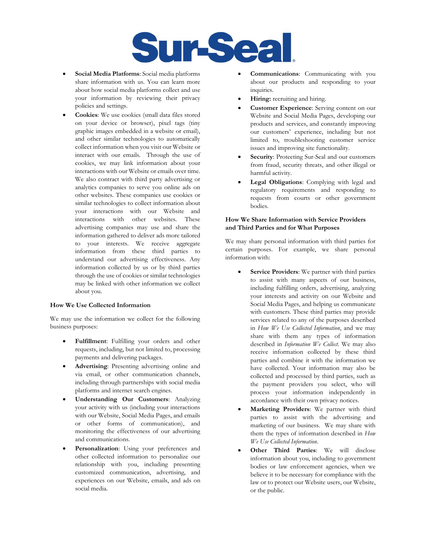

- **Social Media Platforms**: Social media platforms share information with us. You can learn more about how social media platforms collect and use your information by reviewing their privacy policies and settings.
- **Cookies**: We use cookies (small data files stored on your device or browser), pixel tags (tiny graphic images embedded in a website or email), and other similar technologies to automatically collect information when you visit our Website or interact with our emails. Through the use of cookies, we may link information about your interactions with our Website or emails over time. We also contract with third party advertising or analytics companies to serve you online ads on other websites. These companies use cookies or similar technologies to collect information about your interactions with our Website and interactions with other websites. These advertising companies may use and share the information gathered to deliver ads more tailored to your interests. We receive aggregate information from these third parties to understand our advertising effectiveness. Any information collected by us or by third parties through the use of cookies or similar technologies may be linked with other information we collect about you.

# **How We Use Collected Information**

We may use the information we collect for the following business purposes:

- **Fulfillment**: Fulfilling your orders and other requests, including, but not limited to, processing payments and delivering packages.
- **Advertising**: Presenting advertising online and via email, or other communication channels, including through partnerships with social media platforms and internet search engines.
- **Understanding Our Customers**: Analyzing your activity with us (including your interactions with our Website, Social Media Pages, and emails or other forms of communication), and monitoring the effectiveness of our advertising and communications.
- Personalization: Using your preferences and other collected information to personalize our relationship with you, including presenting customized communication, advertising, and experiences on our Website, emails, and ads on social media.
- **Communications**: Communicating with you about our products and responding to your inquiries.
- **Hiring:** recruiting and hiring.
- **Customer Experience**: Serving content on our Website and Social Media Pages, developing our products and services, and constantly improving our customers' experience, including but not limited to, troubleshooting customer service issues and improving site functionality.
- **Security**: Protecting Sur-Seal and our customers from fraud, security threats, and other illegal or harmful activity.
- **Legal Obligations**: Complying with legal and regulatory requirements and responding to requests from courts or other government bodies.

#### **How We Share Information with Service Providers and Third Parties and for What Purposes**

We may share personal information with third parties for certain purposes. For example, we share personal information with:

- Service Providers: We partner with third parties to assist with many aspects of our business, including fulfilling orders, advertising, analyzing your interests and activity on our Website and Social Media Pages, and helping us communicate with customers. These third parties may provide services related to any of the purposes described in *How We Use Collected Information*, and we may share with them any types of information described in *Information We Collect*. We may also receive information collected by these third parties and combine it with the information we have collected. Your information may also be collected and processed by third parties, such as the payment providers you select, who will process your information independently in accordance with their own privacy notices.
- **Marketing Providers**: We partner with third parties to assist with the advertising and marketing of our business. We may share with them the types of information described in *How We Use Collected Information*.
- **Other Third Parties**: We will disclose information about you, including to government bodies or law enforcement agencies, when we believe it to be necessary for compliance with the law or to protect our Website users, our Website, or the public.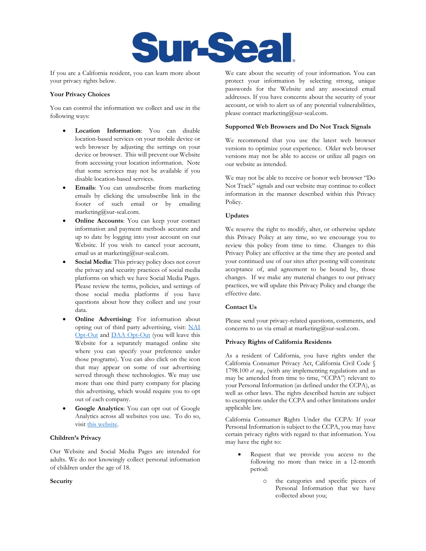

If you are a California resident, you can learn more about your privacy rights below.

# **Your Privacy Choices**

You can control the information we collect and use in the following ways:

- **Location Information**: You can disable location-based services on your mobile device or web browser by adjusting the settings on your device or browser. This will prevent our Website from accessing your location information. Note that some services may not be available if you disable location-based services.
- **Emails**: You can unsubscribe from marketing emails by clicking the unsubscribe link in the footer of such email or by emailing marketing@sur-seal.com.
- **Online Accounts**: You can keep your contact information and payment methods accurate and up to date by logging into your account on our Website. If you wish to cancel your account, email us at marketing@sur-seal.com.
- Social Media: This privacy policy does not cover the privacy and security practices of social media platforms on which we have Social Media Pages. Please review the terms, policies, and settings of those social media platforms if you have questions about how they collect and use your data.
- **Online Advertising**: For information about opting out of third party advertising, visit: [NAI](http://www.aboutads.info/choices/) [Opt-Out](http://www.aboutads.info/choices/) and DAA [Opt-Out](http://optout.networkadvertising.org/?c=1) (you will leave this Website for a separately managed online site where you can specify your preference under those programs). You can also click on the icon that may appear on some of our advertising served through these technologies. We may use more than one third party company for placing this advertising, which would require you to opt out of each company.
- **Google Analytics**: You can opt out of Google Analytics across all websites you use. To do so, visit [this website.](https://support.google.com/analytics/answer/181881?hl=en)

# **Children's Privacy**

Our Website and Social Media Pages are intended for adults. We do not knowingly collect personal information of children under the age of 18.

# **Security**

We care about the security of your information. You can protect your information by selecting strong, unique passwords for the Website and any associated email addresses. If you have concerns about the security of your account, or wish to alert us of any potential vulnerabilities, please contact marketing@sur-seal.com.

#### **Supported Web Browsers and Do Not Track Signals**

We recommend that you use the latest web browser versions to optimize your experience. Older web browser versions may not be able to access or utilize all pages on our website as intended.

We may not be able to receive or honor web browser "Do Not Track" signals and our website may continue to collect information in the manner described within this Privacy Policy.

# **Updates**

We reserve the right to modify, alter, or otherwise update this Privacy Policy at any time, so we encourage you to review this policy from time to time. Changes to this Privacy Policy are effective at the time they are posted and your continued use of our sites after posting will constitute acceptance of, and agreement to be bound by, those changes. If we make any material changes to our privacy practices, we will update this Privacy Policy and change the effective date.

# **Contact Us**

Please send your privacy-related questions, comments, and concerns to us via email at marketing@sur-seal.com.

#### **Privacy Rights of California Residents**

As a resident of California, you have rights under the California Consumer Privacy Act, California Civil Code § 1798.100 *et seq.*, (with any implementing regulations and as may be amended from time to time, "CCPA") relevant to your Personal Information (as defined under the CCPA), as well as other laws. The rights described herein are subject to exemptions under the CCPA and other limitations under applicable law.

California Consumer Rights Under the CCPA: If your Personal Information is subject to the CCPA, you may have certain privacy rights with regard to that information. You may have the right to:

- Request that we provide you access to the following no more than twice in a 12-month period:
	- o the categories and specific pieces of Personal Information that we have collected about you;